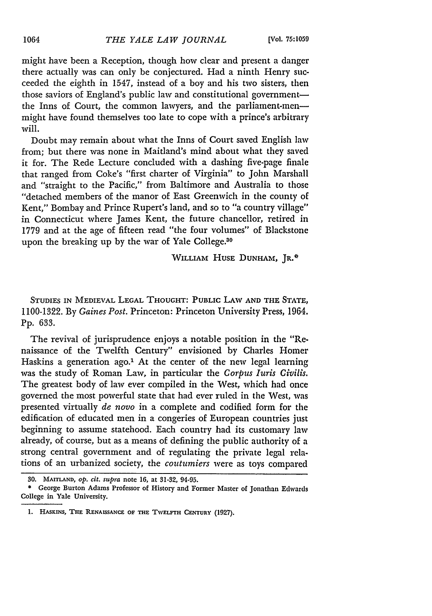might have been a Reception, though how clear and present a danger there actually was can only be conjectured. Had a ninth Henry succeeded the eighth in 1547, instead of a boy and his two sisters, then those saviors of England's public law and constitutional governmentthe Inns of Court, the common lawyers, and the parliament-menmight have found themselves too late to cope with a prince's arbitrary will.

Doubt may remain about what the Inns of Court saved English law from; but there was none in Maitland's mind about what they saved it for. The Rede Lecture concluded with a dashing five-page finale that ranged from Coke's "first charter of Virginia" to John Marshall and "straight to the Pacific," from Baltimore and Australia to those "detached members of the manor of East Greenwich in the county of Kent," Bombay and Prince Rupert's land, and so to "a country village" in Connecticut where James Kent, the future chancellor, retired in 1779 and at the age of fifteen read "the four volumes" of Blackstone upon the breaking up by the war of Yale College.<sup>30</sup>

WILLIAM HUSE DUNHAM, JR.\*

**STUDIES** IN MEDIEVAL LEGAL THOUGHT: PUBLIC LAW **AND THE** STATE, 1100-1322. By *Gaines Post.* Princeton: Princeton University Press, 1964. Pp. 633.

The revival of jurisprudence enjoys a notable position in the "Renaissance of the Twelfth Century" envisioned by Charles Homer Haskins a generation ago.<sup>1</sup> At the center of the new legal learning was the study of Roman Law, in particular the *Corpus luris Civilis.* The greatest body of law ever compiled in the West, which had once governed the most powerful state that had ever ruled in the West, was presented virtually *de novo* in a complete and codified form for the edification of educated men in a congeries of European countries just beginning to assume statehood. Each country had its customary law already, of course, but as a means of defining the public authority of a strong central government and of regulating the private legal relations of an urbanized society, the *coutumiers* were as toys compared

**<sup>30.</sup>** MAITLAND, *op. cit. supra* note 16, at 31-32, 94-95.

<sup>\*</sup> George Burton Adams Professor of History and Former Master of Jonathan Edwards College in Yale University.

**<sup>1.</sup>** HASKINS, **THE RENAISSANCE OF THE** TWELFTH **CENTURY (1927).**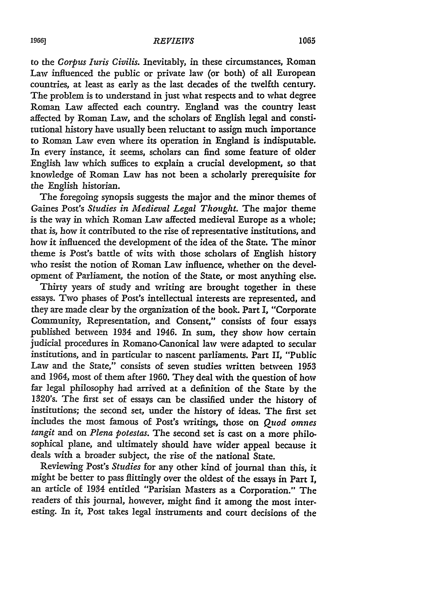to the *Corpus Juris Civilis.* Inevitably, in these circumstances, Roman Law influenced the public or private law (or both) of all European countries, at least as early as the last decades of the tvelfth century. The problem is to understand in just what respects and to what degree Roman Law affected each country. England was the country least affected by Roman Law, and the scholars of English legal and constitutional history have usually been reluctant to assign much importance to Roman Law even where its operation in England is indisputable. In every instance, it seems, scholars can find some feature of older English law which suffices to explain a crucial development, so that knowledge of Roman Law has not been a scholarly prerequisite for the English historian.

The foregoing synopsis suggests the major and the minor themes of Gaines Post's *Studies in Medieval Legal Thought.* The major theme is the way in which Roman Law affected medieval Europe as a whole; that is, how it contributed to the rise of representative institutions, and how it influenced the development of the idea of the State. The minor theme is Post's battle of wits with those scholars of English history who resist the notion of Roman Law influence, whether on the development of Parliament, the notion of the State, or most anything else.

Thirty years of study and writing are brought together in these essays. Two phases of Post's intellectual interests are represented, and they are made clear by the organization of the book. Part I, "Corporate Community, Representation, and Consent," consists of four essays published between 1934 and 1946. In sum, they show how certain judicial procedures in Romano-Canonical law were adapted to secular institutions, and in particular to nascent parliaments. Part *II,* "Public Law and the State," consists of seven studies written between 1953 and 1964, most of them after 1960. They deal with the question of how far legal philosophy had arrived at a definition of the State by the 1320's. The first set of essays can be classified under the history of institutions; the second set, under the history of ideas. The first set includes the most famous of Post's writings, those on *Quod omnes tangit* and on *Plena potestas.* The second set is cast on a more philosophical plane, and ultimately should have wider appeal because it deals with a broader subject, the rise of the national State.

Reviewing Post's *Studies* for any other kind of journal than this, it might be better to pass flittingly over the oldest of the essays in Part I, an article of 1984 entitled "Parisian Masters as a Corporation." The readers of this journal, however, might find it among the most interesting. In it, Post takes legal instruments and court decisions of the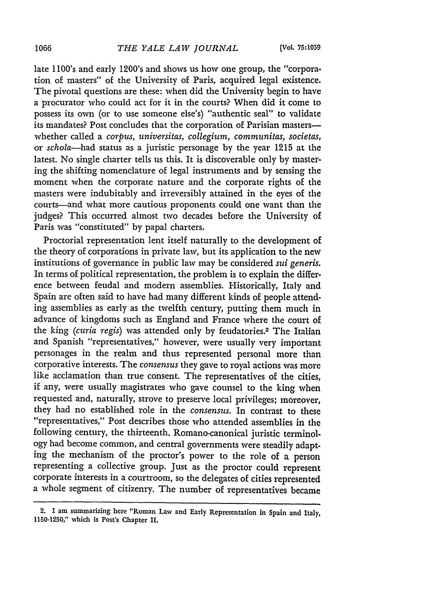late 1100's and early 1200's and shows us how one group, the "corporation of masters" of the University of Paris, acquired legal existence. The pivotal questions are these: when did the University begin to have a procurator who could act for it in the courts? When did it come to possess its own (or to use someone else's) "authentic seal" to validate its mandates? Post concludes that the corporation of Parisian masterswhether called a *corpus, universitas, collegium, communitas, societas,* or *schola-had* status as a juristic personage by the year **1215** at the latest. No single charter tells us this. It is discoverable only by mastering the shifting nomenclature of legal instruments and by sensing the moment when the corporate nature and the corporate rights of the masters were indubitably and irreversibly attained in the eyes of the courts-and what more cautious proponents could one want than the judges? This occurred almost two decades before the University of Paris was "constituted" by papal charters.

Proctorial representation lent itself naturally to the development of the theory of corporations in private law, but its application to the new institutions of governance in public law may be considered *sui generis.* In terms of political representation, the problem is to explain the difference between feudal and modern assemblies. Historically, Italy and Spain are often said to have had many different kinds of people attending assemblies as early as the twelfth century, putting them much in advance of kingdoms such as England and France where the court of the king *(curia regis)* was attended only by feudatories.2 The Italian and Spanish "representatives," however, were usually very important personages in the realm and thus represented personal more than corporative interests. The *consensus* they gave to royal actions was more like acclamation than true consent. The representatives of the cities, if any, were usually magistrates who gave counsel to the king when requested and, naturally, strove to preserve local privileges; moreover, they had no established role in the *consensus.* In contrast to these "representatives," Post describes those who attended assemblies in the following century, the thirteenth. Romano-canonical juristic terminol. ogy had become common, and central governments were steadily adapting the mechanism of the proctor's power to the role of a person representing a collective group. Just as the proctor could represent corporate interests in a courtroom, so the delegates of cities represented a whole segment of citizenry. The number of representatives became

<sup>2.</sup> I am summarizing here "Roman Law and Early Representation in Spain and Italy, **1150-1250,"** which is Post's Chapter **II.**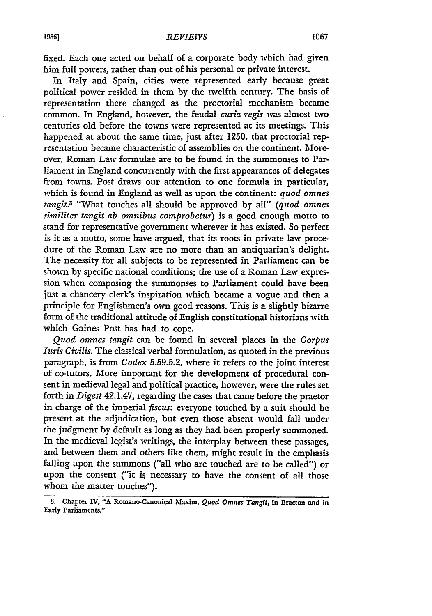fixed. Each one acted on behalf of a corporate body which had given him full powers, rather than out of his personal or private interest.

In Italy and Spain, cities were represented early because great political power resided in them by the twelfth century. The basis of representation there changed as the proctorial mechanism became common. In England, however, the feudal *curia regis* was almost two centuries old before the towns were represented at its meetings. This happened at about the same time, just after 1250, that proctorial representation became characteristic of assemblies on the continent. Moreover, Roman Law formulae are to be found in the summonses to Parliament in England concurrently with the first appearances of delegates from towns. Post draws our attention to one formula in particular, which is found in England as well as upon the continent: *quod omnes tangit.3* "What touches all should be approved by all" *(quod omnes similiter tangit ab omnibus comprobetur)* is a good enough motto to stand for representative government wherever it has existed. So perfect is it as a motto, some have argued, that its roots in private law procedure of the Roman Law are no more than an antiquarian's delight. The necessity for all subjects to be represented in Parliament can be shown by specific national conditions; the use of a Roman Law expression when composing the summonses to Parliament could have been just a chancery clerk's inspiration which became a vogue and then a principle for Englishmen's own good reasons. This is a slightly bizarre form of the traditional attitude of English constitutional historians with which Gaines Post has had to cope.

*Quod omnes tangit* can be found in several places in the *Corpus luris Civilis.* The classical verbal formulation, as quoted in the previous paragraph, is from *Codex* 5.59.5.2, where it refers to the joint interest of co-tutors. More important for the development of procedural consent in medieval legal and political practice, however, were the rules set forth in *Digest* 42.1.47, regarding the cases that came before the praetor in charge of the imperial *fiscus:* everyone touched by a suit should be present at the adjudication, but even those absent would fall under the judgment by default as long as they had been properly summoned. In the medieval legist's writings, the interplay between these passages, and between them" and others like them, might result in the emphasis falling upon the summons ("all who are touched are to be called") or upon the consent ("it is necessary to have the consent of all those whom the matter touches").

**S.** Chapter **IV, "A Romano-Canonical** Maxim, *Quod Ornnes Tangit.* in Bracton and in Early Parliaments."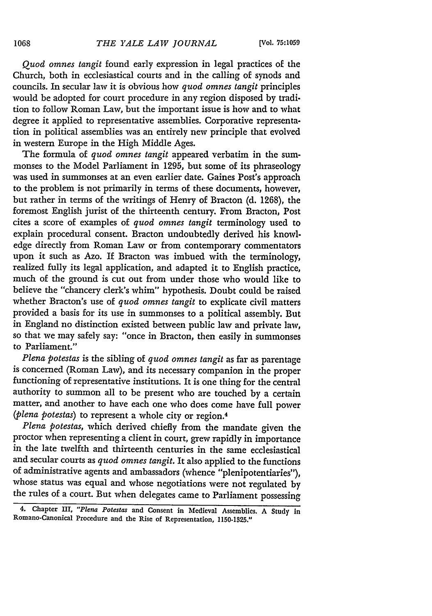*Quod omnes tangit* found early expression in legal practices of the Church, both in ecclesiastical courts and in the calling of synods and councils. In secular law it is obvious how *quod omnes tangit* principles would be adopted for court procedure in any region disposed by tradition to follow Roman Law, but the important issue is how and to what degree it applied to representative assemblies. Corporative representation in political assemblies was an entirely new principle that evolved in western Europe in the High Middle Ages.

The formula of *quod omnes tangit* appeared verbatim in the summonses to the Model Parliament in 1295, but some of its phraseology was used in summonses at an even earlier date. Gaines Post's approach to the problem is not primarily in terms of these documents, however, but rather in terms of the writings of Henry of Bracton (d. 1268), the foremost English jurist of the thirteenth century. From Bracton, Post cites a score of examples of *quod omnes tangit* terminology used to explain procedural consent. Bracton undoubtedly derived his knowledge directly from Roman Law or from contemporary commentators upon it such as Azo. If Bracton was imbued with the terminology, realized fully its legal application, and adapted it to English practice, much of the ground is cut out from under those who would like to believe the "chancery clerk's whim" hypothesis. Doubt could be raised whether Bracton's use of *quod omnes tangit* to explicate civil matters provided a basis for its use in summonses to a political assembly. But in England no distinction existed between public law and private law, so that we may safely say: "once in Bracton, then easily in summonses to Parliament."

*Plena potestas* is the sibling of *quod omnes tangit* as far as parentage is concerned (Roman Law), and its necessary companion in the proper functioning of representative institutions. It is one thing for the central authority to summon all to be present who are touched by a certain matter, and another to have each one who does come have full power *(plena potestas)* to represent a whole city or region.4

*Plena potestas,* which derived chiefly from the mandate given the proctor when representing a client in court, grew rapidly in importance in the late twelfth and thirteenth centuries in the same ecclesiastical and secular courts as *quod omnes tangit.* It also applied to the functions of administrative agents and ambassadors (whence "plenipotentiaries"), whose status was equal and whose negotiations were not regulated by the rules of a court. But when delegates came to Parliament possessing

<sup>4.</sup> Chapter **HI,** *"Plena Potestas* and Consent in Medieval Assemblies. A Study In Romano-Canonical Procedure and the Rise of Representation, **1150-1325."**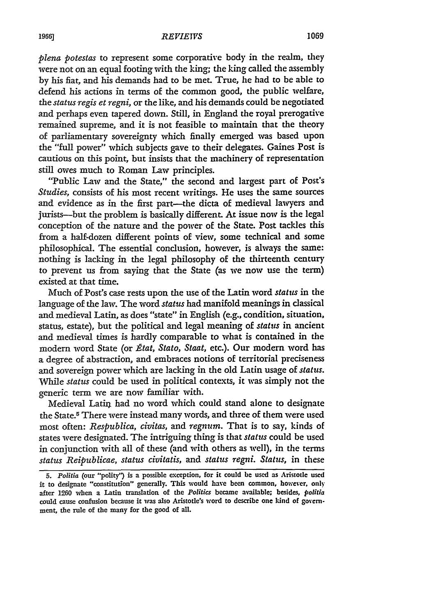*plena potestas* to represent some corporative body in the realm, they were not on an equal footing with the king; the king called the assembly by his fiat, and his demands had to be met. True, he had to be able to defend his actions in terms of the common good, the public welfare, *the status regis et regni,* or the like, and his demands could be negotiated and perhaps even tapered down. Still, in England the royal prerogative remained supreme, and it is not feasible to maintain that the theory of parliamentary sovereignty which finally emerged was based upon the "full power" which subjects gave to their delegates. Gaines Post is cautious on this point, but insists that the machinery of representation still owes much to Roman Law principles.

"Public Law and the State," the second and largest part of Post's *Studies,* consists of his most recent writings. He uses the same sources and evidence as in the first part-the dicta of medieval lawyers and jurists--but the problem is basically different. At issue now is the legal conception of the nature and the power of the State. Post tackles this from a half-dozen different points of view, some technical and some philosophical. The essential conclusion, however, is always the same: nothing is lacking in the legal philosophy of the thirteenth century to prevent us from saying that the State (as we now use the term) existed at that time.

Much of Post's case rests upon the use of the Latin word *status* in the language of the law. The word *status* had manifold meanings in classical and medieval Latin, as does "state" in English (e.g., condition, situation, status, estate), but the political and legal meaning of *status* in ancient and medieval times is hardly comparable to what is contained in the modern word State (or *État, Stato, Staat, etc.*). Our modern word has a degree of abstraction, and embraces notions of territorial preciseness and sovereign power which are lacking in the old Latin usage of *status. While status* could be used in political contexts, it was simply not the generic term we are now familiar with.

Medieval Latin had no word which could stand alone to designate the State.<sup>5</sup> There were instead many words, and three of them were used most often: *Respublica, civitas, and regnum.* That is to say, kinds of states were designated. The intriguing thing is that *status* could be used in conjunction with all of these (and with others as well), in the terms *status Reipublicae, status civitatis, and status regni. Status,* in these

*<sup>5.</sup> Politia* (our "polity') is a possible exception, for it could be used as Aristotle used it to designate "constitution" generally. This would have been common, however, only after **1260** when a Latin translation of the *Politics* became available; besides, *politia* could cause confusion because it was also Aristotle's word to describe one kind of government, the rule of the many for the good of all.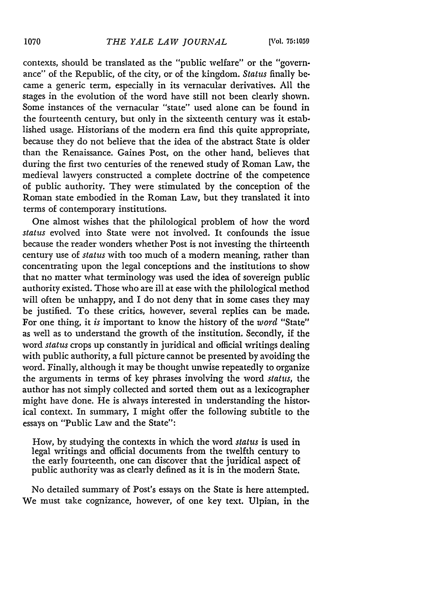contexts, should be translated as the "public welfare" or the "governance" of the Republic, of the city, or of the kingdom. *Status* finally became a generic term, especially in its vernacular derivatives. All the stages in the evolution of the word have still not been clearly shown. Some instances of the vernacular "state" used alone can be found in the fourteenth century, but only in the sixteenth century was it established usage. Historians of the modern era find this quite appropriate, because they do not believe that the idea of the abstract State is older than the Renaissance. Gaines Post, on the other hand, believes that during the first two centuries of the renewed study of Roman Law, the medieval lawyers constructed a complete doctrine of the competence of public authority. They were stimulated by the conception of the Roman state embodied in the Roman Law, but they translated it into terms of contemporary institutions.

One almost wishes that the philological problem of how the word *status* evolved into State were not involved. It confounds the issue because the reader wonders whether Post is not investing the thirteenth century use of *status* with too much of a modern meaning, rather than concentrating upon the legal conceptions and the institutions to show that no matter what terminology was used the idea of sovereign public authority existed. Those who are ill at ease with the philological method will often be unhappy, and I do not deny that in some cases they may be justified. To these critics, however, several replies can be made. For one thing, it *is* important to know the history of the *word* "State" as well as to understand the growth of the institution. Secondly, if the word *status* crops up constantly in juridical and official writings dealing with public authority, a full picture cannot be presented by avoiding the word. Finally, although it may be thought unwise repeatedly to organize the arguments in terms of key phrases involving the word *status,* the author has not simply collected and sorted them out as a lexicographer might have done. He is always interested in understanding the historical context. In summary, I might offer the following subtitle to the essays on "Public Law and the State":

How, by studying the contexts in which the word *status* is used in legal writings and official documents from the twelfth century to the early fourteenth, one can discover that the juridical aspect of public authority was as clearly defined as it is in the modern State.

No detailed summary of Post's essays on the State is here attempted. We must take cognizance, however, of one key text. Ulpian, in the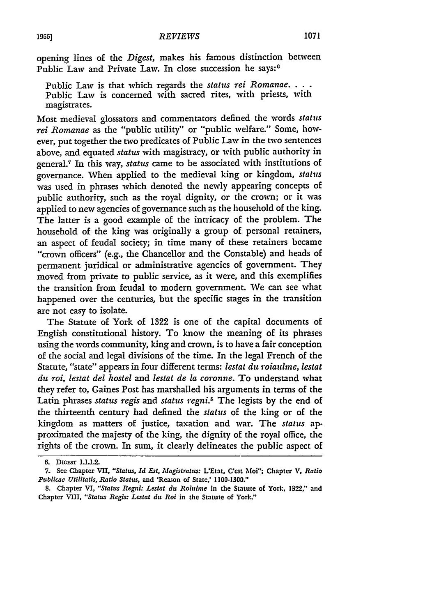opening lines of the *Digest,* makes his famous distinction between Public Law and Private Law. In close succession he says:<sup>6</sup>

Public Law is that which regards the *status rei Romanae ...* Public Law is concerned with sacred rites, with priests, with magistrates.

Most medieval glossators and commentators defined the words *status rei Romanae* as the "public utility" or "public welfare." Some, however, put together the two predicates of Public Law in the two sentences above, and equated *status* with magistracy, or with public authority in general.7 In this way, *status* came to be associated with institutions of governance. When applied to the medieval king or kingdom, *status* was used in phrases which denoted the newly appearing concepts of public authority, such as the royal dignity, or the crown; or it was applied to new agencies of governance such as the household of the king. The latter is a good example of the intricacy of the problem. The household of the king was originally a group of personal retainers, an aspect of feudal society; in time many of these retainers became "crown officers" (e.g., the Chancellor and the Constable) and heads of permanent juridical or administrative agencies of government. They moved from private to public service, as it were, and this exemplifies the transition from feudal to modern government. We can see what happened over the centuries, but the specific stages in the transition are not easy to isolate.

The Statute of York of 1322 is one of the capital documents of English constitutional history. To know the meaning of its phrases using the words community, king and crown, is to have a fair conception of the social and legal divisions of the time. In the legal French of the Statute, "state" appears in four different terms: *lestat du roiaulme, lestat du roi, lestat del hostel and lestat de la coronne.* To understand what they refer to, Gaines Post has marshalled his arguments in terms of the Latin phrases *status regis and status regnis* The legists **by** the end of the thirteenth century had defined the *status* of the king or of the kingdom as matters of justice, taxation and war. The *status ap*proximated the majesty of the king, the dignity of the royal office, the rights of the crown. In sum, it clearly delineates the public aspect of

<sup>6.</sup> DIGEST 1.1.1.2.

**<sup>7.</sup>** See Chapter **VII,** *"Status, Id Est, Magistratus:* L'Etat, C'est **Moi";** Chapter **V,** *Ratio Publicae Utilitatis, Ratio Status,* and 'Reason of State,' **1100-1300."**

**<sup>8.</sup>** Chapter VI, *"Status Regni: Lestat du Roiuhne* in the Statute of York, **1322,"** and Chapter **VIII,** *"Status Regis: Lestat du Roi* in the Statute of York."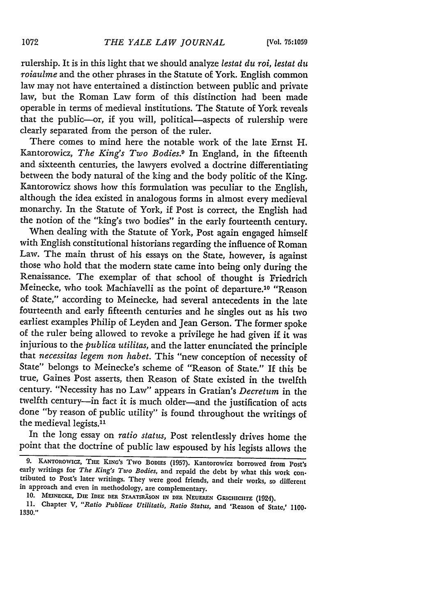rulership. It is in this light that we should analyze *lestat du roi, lestat du roiaulme* and the other phrases in the Statute of York. English common law may not have entertained a distinction between public and private law, but the Roman Law form of this distinction had been made operable in terms of medieval institutions. The Statute of York reveals that the public-or, if you will, political-aspects of rulership were clearly separated from the person of the ruler.

There comes to mind here the notable work of the late Ernst H. Kantorowicz, *The King's Two Bodies.0* In England, in the fifteenth and sixteenth centuries, the lawyers evolved a doctrine differentiating between the body natural of the king and the body politic of the King. Kantorowicz shows how this formulation was peculiar to the English, although the idea existed in analogous forms in almost every medieval monarchy. In the Statute of York, if Post is correct, the English had the notion of the "king's two bodies" in the early fourteenth century.

When dealing with the Statute of York, Post again engaged himself with English constitutional historians regarding the influence of Roman Law. The main thrust of his essays on the State, however, is against those who hold that the modem state came into being only during the Renaissance. The exemplar of that school of thought is Friedrich Meinecke, who took Machiavelli as the point of departure.<sup>10</sup> "Reason of State," according to Meinecke, had several antecedents in the late fourteenth and early fifteenth centuries and he singles out as his two earliest examples Philip of Leyden and Jean Gerson. The former spoke of the ruler being allowed to revoke a privilege he had given if it was injurious to the *publica utilitas,* and the latter enunciated the principle that *necessitas legem non habet.* This "new conception of necessity of State" belongs to Meinecke's scheme of "Reason of State." If this be true, Gaines Post asserts, then Reason of State existed in the twelfth century. "Necessity has no Law" appears in Gratian's *Decretum* in the twelfth century-in fact it is much older-and the justification of acts done "by reason of public utility" is found throughout the writings of the medieval legists.<sup>11</sup>

In the long essay on *ratio status,* Post relentlessly drives home the point that the doctrine of public law espoused by his legists allows the

<sup>9.</sup> KANTOROWICZ, THE KING'S TWO BODIES (1957). Kantorowicz borrowed from Post's early writings for *The King's Two Bodies*, and repaid the debt by what this work contributed to Post's later writings. They were good friends, and their works, so different in approach and even in methodology, are complementary.

<sup>10.</sup> MEINECKE, DIE IDEE DER STAATSRÄSON IN DER NEUEREN GESCHICHTE (1924).

**<sup>11.</sup>** Chapter *V, "Ratio Publicae Utilitatis, Ratio Status,* and 'Reason of State,' **1100. 1330."**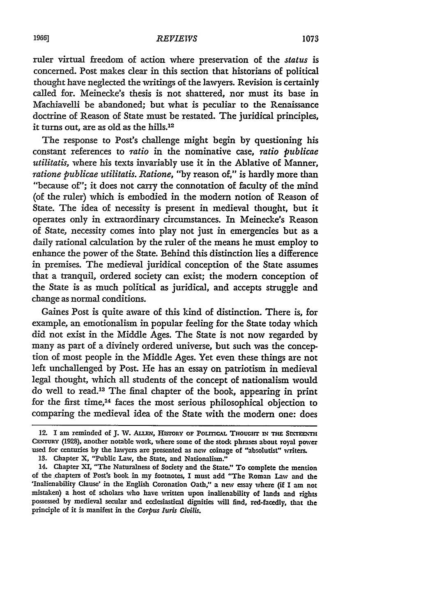ruler virtual freedom of action where preservation of the *status is* concerned. Post makes dear in this section that historians of political thought have neglected the writings of the lawyers. Revision is certainly called for. Meinecke's thesis is not shattered, nor must its base in Machiavelli be abandoned; but what is peculiar to the Renaissance doctrine of Reason of State must be restated. The juridical principles, it turns out, are as old as the hills.12

The response to Post's challenge might begin **by** questioning his constant references to *ratio* in the nominative case, *ratio publicae utilitatis,* where his texts invariably use it in the Ablative of Manner, *ratione publicae utilitatis. Ratione,* **"by** reason of," is hardly more than "because of"; it does not carry the connotation of faculty of the mind (of the ruler) which is embodied in the modern notion of Reason of State. The idea of necessity is present in medieval thought, but it operates only in extraordinary circumstances. In Meinecke's Reason of State, necessity comes into play not just in emergencies but as a daily rational calculation **by** the ruler of the means he must employ to enhance the power of the State. Behind this distinction lies a difference in premises. The medieval juridical conception of the State assumes that a tranquil, ordered society can exist; the modem conception of the State is as much political as juridical, and accepts struggle and change as normal conditions.

Gaines Post is quite aware of this kind of distinction. There is, for example, an emotionalism in popular feeling for the State today which did not exist in the Middle Ages. The State is not now regarded **by** many as part of a divinely ordered universe, but such was the conception of most people in the Middle Ages. Yet even these things are not left unchallenged **by Post.** He has an essay on patriotism in medieval legal thought, which all students of the concept of nationalism would do well to read.13 The final chapter of the book, appearing in print for the first time,<sup>14</sup> faces the most serious philosophical objection to comparing the medieval idea of the State with the modem one: does

<sup>12.</sup> I am reminded of **J. W. ALLEN, HISTORY OF POLITICAL THOUGHT IN THE SIXTEENTH** CENTURY (1928), another notable work, where some of the stock phrases about royal power used for centuries **by** the lawyers are presented as new coinage of "absolutist" writers.

**<sup>13.</sup>** Chapter X, "Public Law, the State, and Nationalism."

<sup>14.</sup> Chapter XI, "The Naturalness of Sodety and the State." To complete the mention **of** the chapters of Post's book in my footnotes, I must add "The Roman Law and the 'Inalienability Clause' in the English Coronation Oath," a new essay where (if I am **not** mistaken) a host of scholars who have written upon inalienability of lands and rights possessed **by** medieval secular and ecclesiastical dignities will find, red-facedly, that the principle of it is manifest in the *Corpus Iuris Civilis.*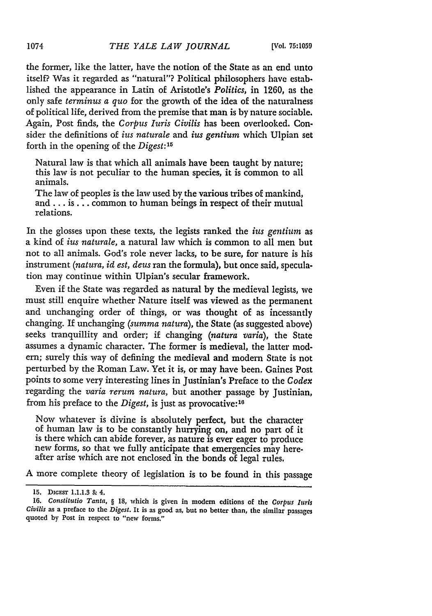the former, like the latter, have the notion of the State as an end unto itself? Was it regarded as "natural"? Political philosophers have established the appearance in Latin of Aristotle's *Politics,* in 1260, as the only safe *terminus a quo* for the growth of the idea of the naturalness of political life, derived from the premise that man is by nature sociable. Again, Post finds, the *Corpus luris Civilis* has been overlooked. Consider the definitions of *ius naturale* and *ius gentium* which Ulpian set forth in the opening of the *Digest:5*

Natural law is that which all animals have been taught by nature; this law is not peculiar to the human species, it is common to all animals.

The law of peoples is the law used by the various tribes of mankind, and.., is... common to human beings in respect of their mutual relations.

In the glosses upon these texts, the legists ranked the *ius gentium* as a kind of *ius naturale,* a natural law which is common to all men but not to all animals. God's role never lacks, to be sure, for nature is his instrument *(natura, id est, deus* ran the formula), but once said, speculation may continue within Ulpian's secular framework.

Even if the State was regarded as natural by the medieval legists, we must still enquire whether Nature itself was viewed as the permanent and unchanging order of things, or was thought of as incessantly changing. If unchanging *(summa natura),* the State (as suggested above) seeks tranquillity and order; if changing *(natura varia),* the State assumes a dynamic character. The former is medieval, the latter modem; surely this way of defining the medieval and modem State is not perturbed by the Roman Law. Yet it is, or may have been. Gaines Post points to some very interesting lines in Justinian's Preface to the *Codex* regarding the *varia rerum natura,* but another passage by Justinian, from his preface to the *Digest*, is just as provocative:<sup>16</sup>

Now whatever is divine is absolutely perfect, but the character of human law is to be constantly hurrying on, and no part of it is there which can abide forever, as nature is ever eager to produce new forms, so that we fully anticipate that emergencies may hereafter arise which are not enclosed in the bonds of legal rules.

A more complete theory of legislation is to be found in this passage

**<sup>15.</sup> DIGESr 1.1.1.3 &** 4.

**<sup>16.</sup>** *Constitutio Tanta, §* 18, which is given in modem editions of the *Corpus lIurs Civilis* as a preface to the *Digest.* It is as good *as,* but no better than, the similar passages quoted by Post in respect to "new forms."